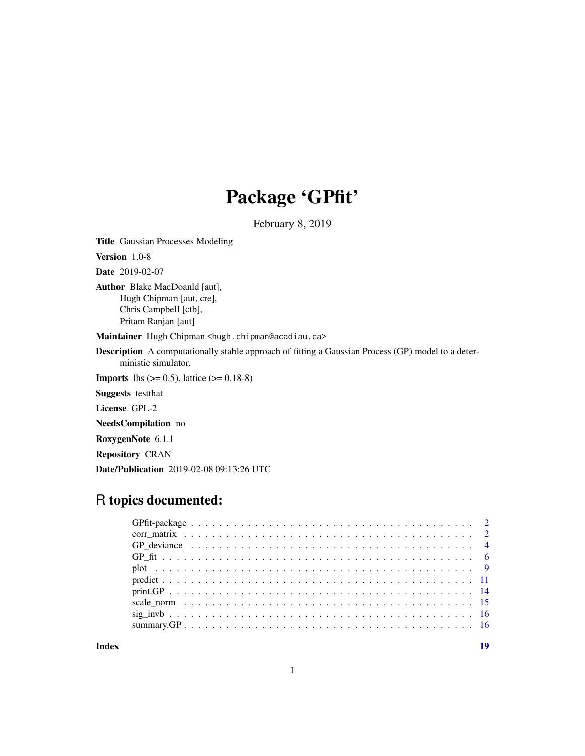## Package 'GPfit'

February 8, 2019

<span id="page-0-0"></span>Title Gaussian Processes Modeling Version 1.0-8 Date 2019-02-07

Author Blake MacDoanld [aut], Hugh Chipman [aut, cre], Chris Campbell [ctb], Pritam Ranjan [aut]

Maintainer Hugh Chipman <hugh.chipman@acadiau.ca>

Description A computationally stable approach of fitting a Gaussian Process (GP) model to a deterministic simulator.

**Imports** lhs  $(>= 0.5)$ , lattice  $(>= 0.18-8)$ 

Suggests testthat

License GPL-2

NeedsCompilation no

RoxygenNote 6.1.1

Repository CRAN

Date/Publication 2019-02-08 09:13:26 UTC

## R topics documented:

**Index** 2008 **Index** 2008 **Index**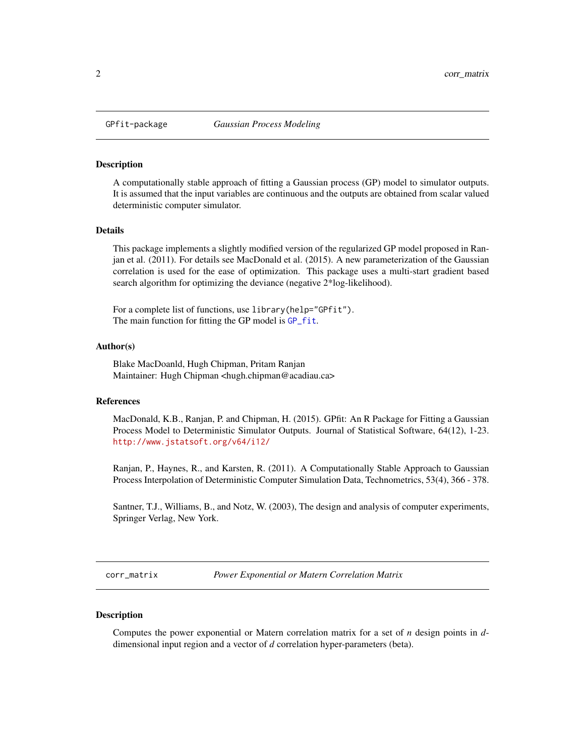<span id="page-1-0"></span>

#### Description

A computationally stable approach of fitting a Gaussian process (GP) model to simulator outputs. It is assumed that the input variables are continuous and the outputs are obtained from scalar valued deterministic computer simulator.

#### Details

This package implements a slightly modified version of the regularized GP model proposed in Ranjan et al. (2011). For details see MacDonald et al. (2015). A new parameterization of the Gaussian correlation is used for the ease of optimization. This package uses a multi-start gradient based search algorithm for optimizing the deviance (negative 2\*log-likelihood).

For a complete list of functions, use library(help="GPfit"). The main function for fitting the GP model is [GP\\_fit](#page-5-1).

#### Author(s)

Blake MacDoanld, Hugh Chipman, Pritam Ranjan Maintainer: Hugh Chipman <hugh.chipman@acadiau.ca>

## References

MacDonald, K.B., Ranjan, P. and Chipman, H. (2015). GPfit: An R Package for Fitting a Gaussian Process Model to Deterministic Simulator Outputs. Journal of Statistical Software, 64(12), 1-23. <http://www.jstatsoft.org/v64/i12/>

Ranjan, P., Haynes, R., and Karsten, R. (2011). A Computationally Stable Approach to Gaussian Process Interpolation of Deterministic Computer Simulation Data, Technometrics, 53(4), 366 - 378.

Santner, T.J., Williams, B., and Notz, W. (2003), The design and analysis of computer experiments, Springer Verlag, New York.

<span id="page-1-1"></span>corr\_matrix *Power Exponential or Matern Correlation Matrix*

## Description

Computes the power exponential or Matern correlation matrix for a set of *n* design points in *d*dimensional input region and a vector of *d* correlation hyper-parameters (beta).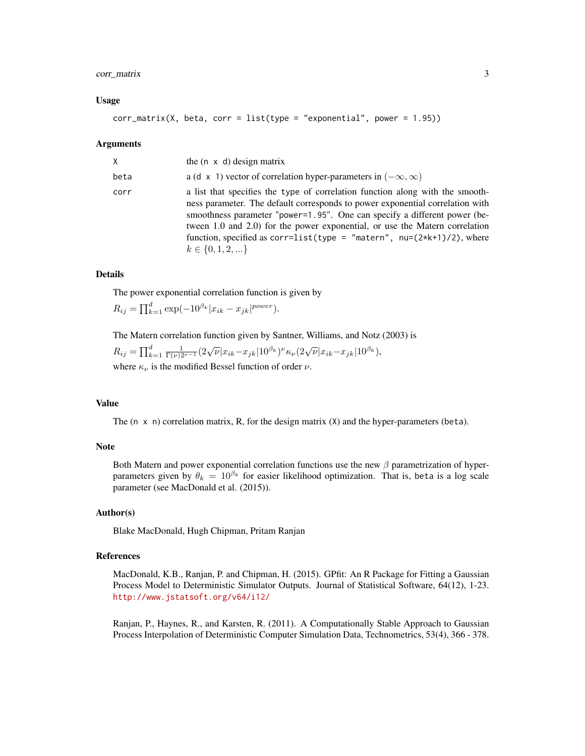## corr\_matrix 3

#### Usage

$$
corr_matrix(X, beta, corr = list(type = "exponential", power = 1.95))
$$

#### Arguments

| X    | the $(n \times d)$ design matrix                                                                                                                                                                                                                                                                                                                                                                                                 |
|------|----------------------------------------------------------------------------------------------------------------------------------------------------------------------------------------------------------------------------------------------------------------------------------------------------------------------------------------------------------------------------------------------------------------------------------|
| beta | a (d x 1) vector of correlation hyper-parameters in $(-\infty, \infty)$                                                                                                                                                                                                                                                                                                                                                          |
| corr | a list that specifies the type of correlation function along with the smooth-<br>ness parameter. The default corresponds to power exponential correlation with<br>smoothness parameter "power=1.95". One can specify a different power (be-<br>tween 1.0 and 2.0) for the power exponential, or use the Matern correlation<br>function, specified as corr=list(type = "matern", $nu=(2*k+1)/2$ ), where<br>$k \in \{0, 1, 2, \}$ |

#### Details

The power exponential correlation function is given by

 $R_{ij} = \prod_{k=1}^{d} \exp(-10^{\beta_k} |x_{ik} - x_{jk}|^{power}).$ 

The Matern correlation function given by Santner, Williams, and Notz (2003) is  $\overline{d}$  $\mathbf{1}$ 

$$
R_{ij} = \prod_{k=1}^{d} \frac{1}{\Gamma(\nu)2^{\nu-1}} (2\sqrt{\nu}|x_{ik} - x_{jk}| 10^{\beta_k})^{\nu} \kappa_{\nu} (2\sqrt{\nu}|x_{ik} - x_{jk}| 10^{\beta_k}),
$$

where  $\kappa_{\nu}$  is the modified Bessel function of order  $\nu$ .

## Value

The  $(n \times n)$  correlation matrix, R, for the design matrix  $(X)$  and the hyper-parameters (beta).

## Note

Both Matern and power exponential correlation functions use the new  $\beta$  parametrization of hyperparameters given by  $\theta_k = 10^{\beta_k}$  for easier likelihood optimization. That is, beta is a log scale parameter (see MacDonald et al. (2015)).

#### Author(s)

Blake MacDonald, Hugh Chipman, Pritam Ranjan

## References

MacDonald, K.B., Ranjan, P. and Chipman, H. (2015). GPfit: An R Package for Fitting a Gaussian Process Model to Deterministic Simulator Outputs. Journal of Statistical Software, 64(12), 1-23. <http://www.jstatsoft.org/v64/i12/>

Ranjan, P., Haynes, R., and Karsten, R. (2011). A Computationally Stable Approach to Gaussian Process Interpolation of Deterministic Computer Simulation Data, Technometrics, 53(4), 366 - 378.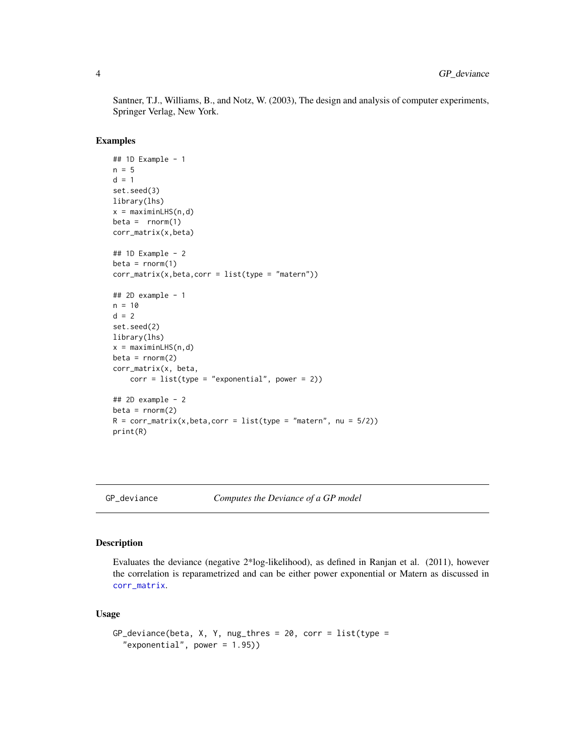Santner, T.J., Williams, B., and Notz, W. (2003), The design and analysis of computer experiments, Springer Verlag, New York.

## Examples

```
## 1D Example - 1
n = 5d = 1set.seed(3)
library(lhs)
x = maximinLHS(n, d)beta = rnorm(1)corr_matrix(x,beta)
## 1D Example - 2
beta = rnorm(1)corr_matrix(x,beta,corr = list(type = "matern"))## 2D example - 1
n = 10d = 2set.seed(2)
library(lhs)
x = maximinLHS(n,d)
beta = rnorm(2)corr_matrix(x, beta,
    corr = list(type = "exponential", power = 2))## 2D example - 2
beta = rnorm(2)R = corr_matrix(x,beta,corr = list(type = "matern", nu = 5/2))print(R)
```
<span id="page-3-1"></span>

GP\_deviance *Computes the Deviance of a GP model*

#### Description

Evaluates the deviance (negative 2\*log-likelihood), as defined in Ranjan et al. (2011), however the correlation is reparametrized and can be either power exponential or Matern as discussed in [corr\\_matrix](#page-1-1).

#### Usage

```
GP_deviance(beta, X, Y, nug_thres = 20, corr = list(type =
  "exponential", power = 1.95)
```
<span id="page-3-0"></span>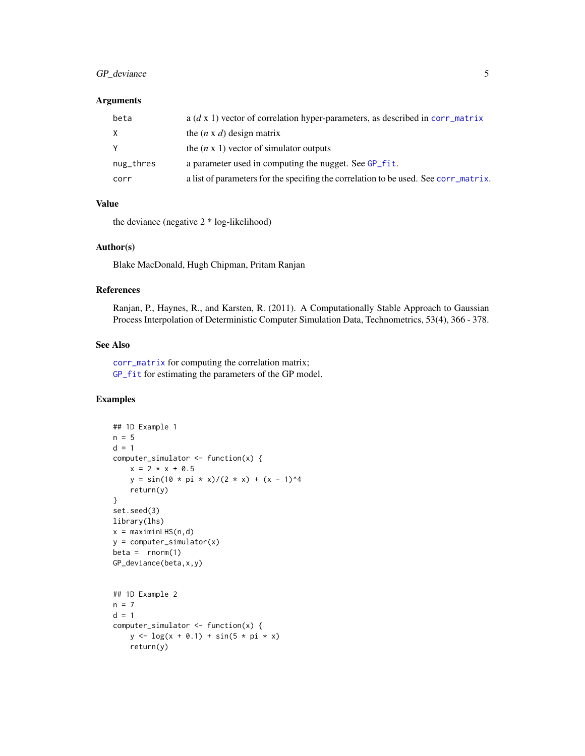## <span id="page-4-0"></span>GP\_deviance 5

## Arguments

| beta      | a $(d \times 1)$ vector of correlation hyper-parameters, as described in corr_matrix |
|-----------|--------------------------------------------------------------------------------------|
| X         | the $(n \times d)$ design matrix                                                     |
| Y         | the $(n \times 1)$ vector of simulator outputs                                       |
| nug_thres | a parameter used in computing the nugget. See GP_fit.                                |
| corr      | a list of parameters for the specifing the correlation to be used. See corr_matrix.  |

## Value

the deviance (negative 2 \* log-likelihood)

#### Author(s)

Blake MacDonald, Hugh Chipman, Pritam Ranjan

## References

Ranjan, P., Haynes, R., and Karsten, R. (2011). A Computationally Stable Approach to Gaussian Process Interpolation of Deterministic Computer Simulation Data, Technometrics, 53(4), 366 - 378.

#### See Also

[corr\\_matrix](#page-1-1) for computing the correlation matrix; [GP\\_fit](#page-5-1) for estimating the parameters of the GP model.

```
## 1D Example 1
n = 5d = 1computer_simulator <- function(x) {
   x = 2 * x + 0.5y = \sin(10 * pi * x)/(2 * x) + (x - 1)^4return(y)
}
set.seed(3)
library(lhs)
x = maximinLHS(n,d)y = computer_simulator(x)
beta = rnorm(1)GP_deviance(beta,x,y)
## 1D Example 2
n = 7d = 1computer_simulator <- function(x) {
   y \leftarrow \log(x + 0.1) + \sin(5 * pi * x)return(y)
```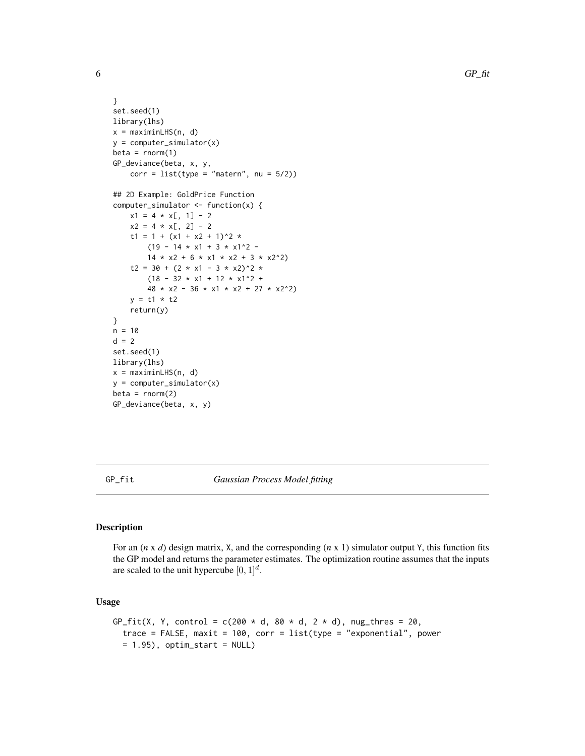```
}
set.seed(1)
library(lhs)
x = maximinLHS(n, d)y = computer_simulator(x)
beta = rnorm(1)GP_deviance(beta, x, y,
    corr = list(type = "matern", nu = 5/2))## 2D Example: GoldPrice Function
computer_simulator <- function(x) {
    x1 = 4 \times x[, 1] - 2x2 = 4 \times x[, 2] - 2t1 = 1 + (x1 + x2 + 1)^2 *
         (19 - 14 \times x1 + 3 \times x1^2) -
         14 \times x2 + 6 \times x1 \times x2 + 3 \times x2^2t2 = 30 + (2 * x1 - 3 * x2)^2 *
         (18 - 32 \times x1 + 12 \times x1^2 +48 \times x2 - 36 \times x1 \times x2 + 27 \times x2^2y = t1 * t2return(y)
}
n = 10d = 2set.seed(1)
library(lhs)
x = maximinLHS(n, d)
y = computer_simulator(x)
beta = rnorm(2)GP_deviance(beta, x, y)
```
<span id="page-5-1"></span>GP\_fit *Gaussian Process Model fitting*

## Description

For an (*n* x *d*) design matrix, X, and the corresponding (*n* x 1) simulator output Y, this function fits the GP model and returns the parameter estimates. The optimization routine assumes that the inputs are scaled to the unit hypercube  $[0, 1]^d$ .

#### Usage

```
GP_fit(X, Y, control = c(200 * d, 80 * d, 2 * d), nug_thres = 20,
  trace = FALSE, maxit = 100, corr = list(type = "exponential", power
 = 1.95), optim_start = NULL)
```
<span id="page-5-0"></span>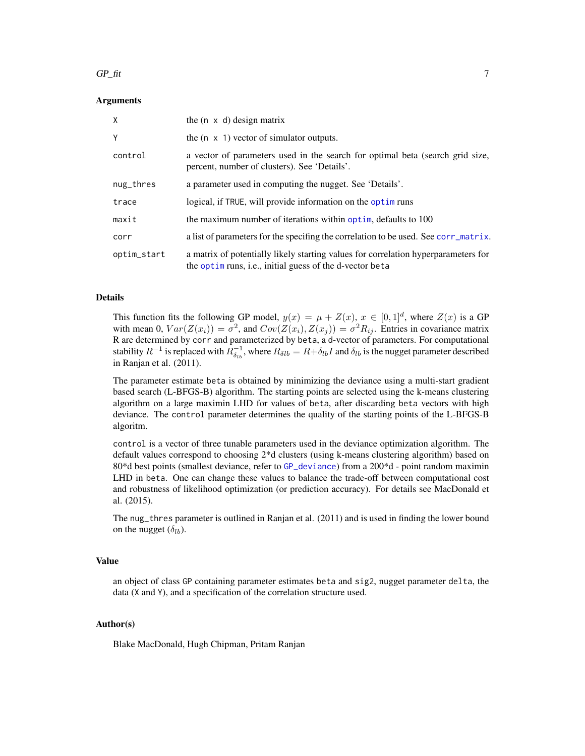#### <span id="page-6-0"></span> $GP_{\text{int}}$  7

#### Arguments

| X           | the $(n \times d)$ design matrix                                                                                                                    |
|-------------|-----------------------------------------------------------------------------------------------------------------------------------------------------|
| Y           | the $(n \times 1)$ vector of simulator outputs.                                                                                                     |
| control     | a vector of parameters used in the search for optimal beta (search grid size,<br>percent, number of clusters). See 'Details'.                       |
| nug_thres   | a parameter used in computing the nugget. See 'Details'.                                                                                            |
| trace       | logical, if TRUE, will provide information on the optim runs                                                                                        |
| maxit       | the maximum number of iterations within optim, defaults to 100                                                                                      |
| corr        | a list of parameters for the specifing the correlation to be used. See corr_matrix.                                                                 |
| optim_start | a matrix of potentially likely starting values for correlation hyperparameters for<br>the optimition runs, i.e., initial guess of the d-vector beta |

#### Details

This function fits the following GP model,  $y(x) = \mu + Z(x)$ ,  $x \in [0,1]^d$ , where  $Z(x)$  is a GP with mean 0,  $Var(Z(x_i)) = \sigma^2$ , and  $Cov(Z(x_i), Z(x_j)) = \sigma^2 R_{ij}$ . Entries in covariance matrix R are determined by corr and parameterized by beta, a d-vector of parameters. For computational stability  $R^{-1}$  is replaced with  $R_{\delta_{lb}}^{-1}$ , where  $R_{\delta{lb}} = R + \delta_{lb}I$  and  $\delta_{lb}$  is the nugget parameter described in Ranjan et al. (2011).

The parameter estimate beta is obtained by minimizing the deviance using a multi-start gradient based search (L-BFGS-B) algorithm. The starting points are selected using the k-means clustering algorithm on a large maximin LHD for values of beta, after discarding beta vectors with high deviance. The control parameter determines the quality of the starting points of the L-BFGS-B algoritm.

control is a vector of three tunable parameters used in the deviance optimization algorithm. The default values correspond to choosing 2\*d clusters (using k-means clustering algorithm) based on 80\*d best points (smallest deviance, refer to [GP\\_deviance](#page-3-1)) from a 200\*d - point random maximin LHD in beta. One can change these values to balance the trade-off between computational cost and robustness of likelihood optimization (or prediction accuracy). For details see MacDonald et al. (2015).

The nug\_thres parameter is outlined in Ranjan et al. (2011) and is used in finding the lower bound on the nugget  $(\delta_{lb})$ .

#### Value

an object of class GP containing parameter estimates beta and sig2, nugget parameter delta, the data (X and Y), and a specification of the correlation structure used.

## Author(s)

Blake MacDonald, Hugh Chipman, Pritam Ranjan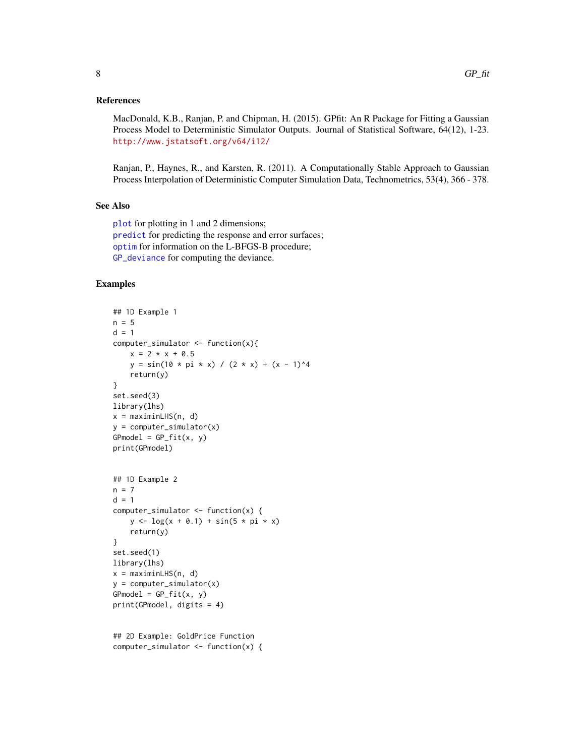#### <span id="page-7-0"></span>References

MacDonald, K.B., Ranjan, P. and Chipman, H. (2015). GPfit: An R Package for Fitting a Gaussian Process Model to Deterministic Simulator Outputs. Journal of Statistical Software, 64(12), 1-23. <http://www.jstatsoft.org/v64/i12/>

Ranjan, P., Haynes, R., and Karsten, R. (2011). A Computationally Stable Approach to Gaussian Process Interpolation of Deterministic Computer Simulation Data, Technometrics, 53(4), 366 - 378.

## See Also

[plot](#page-8-1) for plotting in 1 and 2 dimensions; [predict](#page-10-1) for predicting the response and error surfaces; [optim](#page-0-0) for information on the L-BFGS-B procedure; [GP\\_deviance](#page-3-1) for computing the deviance.

#### Examples

```
## 1D Example 1
n = 5d = 1computer\_simulator \leq-function(x)x = 2 * x + 0.5y = \sin(10 * pi * x) / (2 * x) + (x - 1)^4return(y)
}
set.seed(3)
library(lhs)
x = maximinLHS(n, d)y = computer_simulator(x)
GPmodel = GP_fit(x, y)print(GPmodel)
## 1D Example 2
n = 7d = 1computer_simulator <- function(x) {
    y \leq -\log(x + 0.1) + \sin(5 \times \pi) \times xreturn(y)
}
set.seed(1)
library(lhs)
x = maximinLHS(n, d)
y = computer_simulator(x)
GPmodel = GP_fitt(x, y)print(GPmodel, digits = 4)
```
## 2D Example: GoldPrice Function computer\_simulator <- function(x) {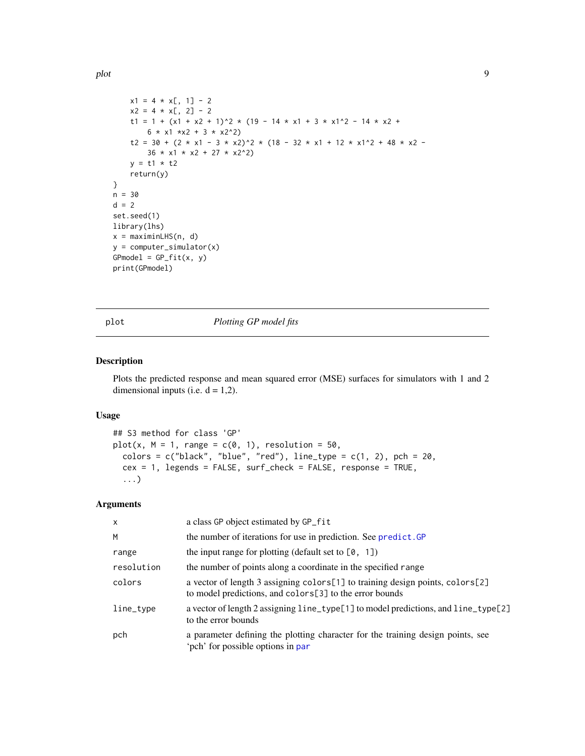<span id="page-8-0"></span>plot the set of the set of the set of the set of the set of the set of the set of the set of the set of the set of the set of the set of the set of the set of the set of the set of the set of the set of the set of the set

```
x1 = 4 \times x[, 1] - 2x2 = 4 \times x[, 2] - 2t1 = 1 + (x1 + x2 + 1)^2 * (19 - 14 * x1 + 3 * x1^2 - 14 * x2 +
        6 * x1 * x2 + 3 * x2^2)t2 = 30 + (2 * x1 - 3 * x2)^2 * (18 - 32 * x1 + 12 * x1^2 + 48 * x2 -
        36 \times x1 \times x2 + 27 \times x2^2y = t1 * t2return(y)
}
n = 30
d = 2set.seed(1)
library(lhs)
x = maximinLHS(n, d)y = computer_simulator(x)
GPmodel = GP_fitt(x, y)print(GPmodel)
```
<span id="page-8-1"></span>

plot *Plotting GP model fits*

## Description

Plots the predicted response and mean squared error (MSE) surfaces for simulators with 1 and 2 dimensional inputs (i.e.  $d = 1,2$ ).

#### Usage

```
## S3 method for class 'GP'
plot(x, M = 1, range = c(0, 1), resolution = 50,
  colors = c("black", "blue", "red"), line_type = <math>c(1, 2)</math>, pch = 20,cex = 1, legends = FALSE, surf_check = FALSE, response = TRUE,
  ...)
```
## Arguments

| $\times$   | a class GP object estimated by GP_fit                                                                                                    |
|------------|------------------------------------------------------------------------------------------------------------------------------------------|
| M          | the number of iterations for use in prediction. See predict. GP                                                                          |
| range      | the input range for plotting (default set to $[0, 1]$ )                                                                                  |
| resolution | the number of points along a coordinate in the specified range                                                                           |
| colors     | a vector of length 3 assigning colors[1] to training design points, colors[2]<br>to model predictions, and colors[3] to the error bounds |
| line_type  | a vector of length 2 assigning line_type[1] to model predictions, and line_type[2]<br>to the error bounds                                |
| pch        | a parameter defining the plotting character for the training design points, see<br>'pch' for possible options in par                     |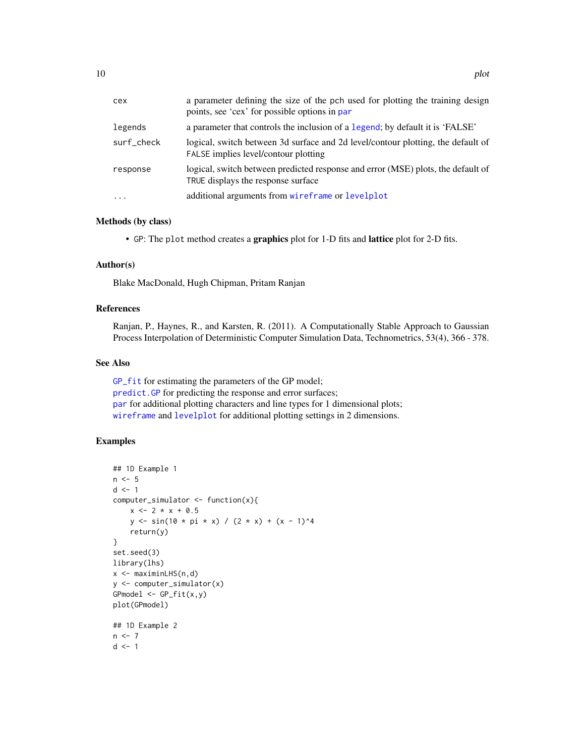<span id="page-9-0"></span>

| cex        | a parameter defining the size of the pch used for plotting the training design<br>points, see 'cex' for possible options in par |
|------------|---------------------------------------------------------------------------------------------------------------------------------|
| legends    | a parameter that controls the inclusion of a legend; by default it is 'FALSE'                                                   |
| surf check | logical, switch between 3d surface and 2d level/contour plotting, the default of<br>FALSE implies level/contour plotting        |
| response   | logical, switch between predicted response and error (MSE) plots, the default of<br>TRUE displays the response surface          |
| $\cdots$   | additional arguments from wireframe or levelplot                                                                                |

#### Methods (by class)

• GP: The plot method creates a graphics plot for 1-D fits and lattice plot for 2-D fits.

#### Author(s)

Blake MacDonald, Hugh Chipman, Pritam Ranjan

## References

Ranjan, P., Haynes, R., and Karsten, R. (2011). A Computationally Stable Approach to Gaussian Process Interpolation of Deterministic Computer Simulation Data, Technometrics, 53(4), 366 - 378.

## See Also

[GP\\_fit](#page-5-1) for estimating the parameters of the GP model; [predict.GP](#page-10-2) for predicting the response and error surfaces; [par](#page-0-0) for additional plotting characters and line types for 1 dimensional plots; [wireframe](#page-0-0) and [levelplot](#page-0-0) for additional plotting settings in 2 dimensions.

```
## 1D Example 1
n < -5d \leq -1computer_simulator <- function(x){
    x \le -2 \times x + 0.5y \le - \sin(10 \times \pi) \times x) / (2 \times x) + (x - 1)^4return(y)
}
set.seed(3)
library(lhs)
x <- maximinLHS(n,d)
y <- computer_simulator(x)
GPmodel \leq GP_fit(x,y)
plot(GPmodel)
## 1D Example 2
n < -7d \leq -1
```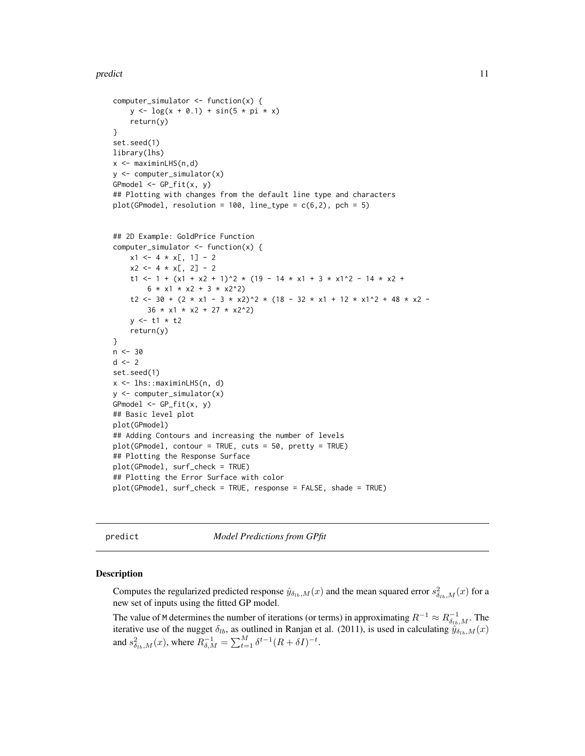#### <span id="page-10-0"></span>predict the contract of the contract of the contract of the contract of the contract of the contract of the contract of the contract of the contract of the contract of the contract of the contract of the contract of the co

```
computer_simulator <- function(x) {
    y \leq -\log(x + 0.1) + \sin(5 \times pi \times x)return(y)
}
set.seed(1)
library(lhs)
x <- maximinLHS(n,d)
y <- computer_simulator(x)
GPmodel \leq GP_{if}(x, y)## Plotting with changes from the default line type and characters
plot(GPmodel, resolution = 100, line_type = c(6, 2), pch = 5)## 2D Example: GoldPrice Function
computer_simulator <- function(x) {
    x1 \leq -4 \times x[, 1] - 2x2 \le -4 \times x[, 2] - 2t1 <- 1 + (x1 + x2 + 1)^2 * (19 - 14 * x1 + 3 * x1^2 - 14 * x2 +
        6 * x1 * x2 + 3 * x2^2)t2 <- 30 + (2 * x1 - 3 * x2)^2 * (18 - 32 * x1 + 12 * x1^2 + 48 * x2 -
        36 \times x1 \times x2 + 27 \times x2^2y \leq t1 \times t2return(y)
}
n < -30d \leq -2set.seed(1)
x <- lhs::maximinLHS(n, d)
y <- computer_simulator(x)
GPmodel <- GP_fit(x, y)
## Basic level plot
plot(GPmodel)
## Adding Contours and increasing the number of levels
plot(GPmodel, contour = TRUE, cuts = 50, pretty = TRUE)
## Plotting the Response Surface
plot(GPmodel, surf_check = TRUE)
## Plotting the Error Surface with color
plot(GPmodel, surf_check = TRUE, response = FALSE, shade = TRUE)
```
<span id="page-10-1"></span>

predict *Model Predictions from GPfit*

#### <span id="page-10-2"></span>Description

Computes the regularized predicted response  $\hat{y}_{\delta_{lb},M}(x)$  and the mean squared error  $s_{\delta_{lb},M}^2(x)$  for a new set of inputs using the fitted GP model.

The value of M determines the number of iterations (or terms) in approximating  $R^{-1} \approx R_{\delta_{lb},M}^{-1}$ . The iterative use of the nugget  $\delta_{lb}$ , as outlined in Ranjan et al. (2011), is used in calculating  $\hat{y}_{\delta_{lb},M}(x)$ and  $s_{\delta_{lb},M}^2(x)$ , where  $R_{\delta,M}^{-1} = \sum_{t=1}^M \delta^{t-1} (R + \delta I)^{-t}$ .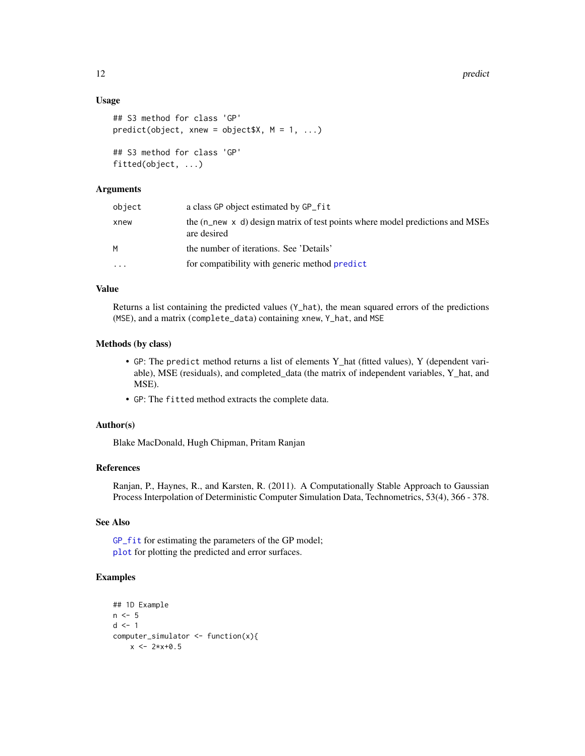#### Usage

```
## S3 method for class 'GP'
predict(object, xnew = object $X, M = 1, ...)## S3 method for class 'GP'
fitted(object, ...)
```
## Arguments

| object    | a class GP object estimated by GP_fit                                                                 |
|-----------|-------------------------------------------------------------------------------------------------------|
| xnew      | the $(n$ new $\times$ d) design matrix of test points where model predictions and MSEs<br>are desired |
| М         | the number of iterations. See 'Details'                                                               |
| $\ddotsc$ | for compatibility with generic method predict                                                         |

## Value

Returns a list containing the predicted values  $(Y<sub>-</sub>hat)$ , the mean squared errors of the predictions (MSE), and a matrix (complete\_data) containing xnew, Y\_hat, and MSE

#### Methods (by class)

- GP: The predict method returns a list of elements Y\_hat (fitted values), Y (dependent variable), MSE (residuals), and completed\_data (the matrix of independent variables, Y\_hat, and MSE).
- GP: The fitted method extracts the complete data.

## Author(s)

Blake MacDonald, Hugh Chipman, Pritam Ranjan

#### References

Ranjan, P., Haynes, R., and Karsten, R. (2011). A Computationally Stable Approach to Gaussian Process Interpolation of Deterministic Computer Simulation Data, Technometrics, 53(4), 366 - 378.

## See Also

[GP\\_fit](#page-5-1) for estimating the parameters of the GP model; [plot](#page-8-1) for plotting the predicted and error surfaces.

```
## 1D Example
n < -5d \leq -1computer_simulator <- function(x){
    x \le -2*x+0.5
```
<span id="page-11-0"></span>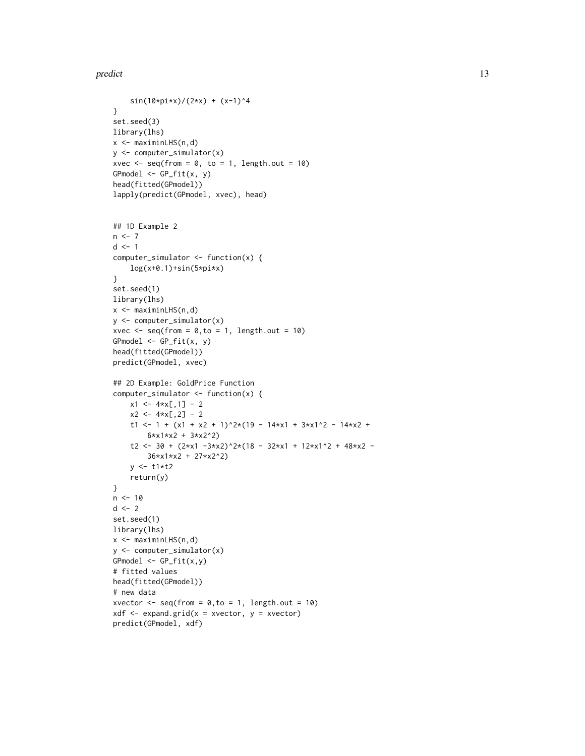#### predict the contract of the contract of the contract of the contract of the contract of the contract of the contract of the contract of the contract of the contract of the contract of the contract of the contract of the co

```
sin(10*pi*x)/(2*x) + (x-1)^4}
set.seed(3)
library(lhs)
x \leq - maximinLHS(n,d)
y <- computer_simulator(x)
xvec \leq seq(from = 0, to = 1, length.out = 10)
GPmodel \leftarrow GP_fitt(x, y)head(fitted(GPmodel))
lapply(predict(GPmodel, xvec), head)
## 1D Example 2
n < -7d \leq -1computer_simulator <- function(x) {
    log(x+0.1)+sin(5*pi*x)
}
set.seed(1)
library(lhs)
x <- maximinLHS(n,d)
y <- computer_simulator(x)
xvec \leq seq(from = 0, to = 1, length.out = 10)
GPmodel \leftarrow GP_fit(x, y)head(fitted(GPmodel))
predict(GPmodel, xvec)
## 2D Example: GoldPrice Function
computer_simulator <- function(x) {
    x1 \leftarrow 4*x[, 1] - 2x2 \le -4*x[, 2] - 2t1 <- 1 + (x1 + x2 + 1)^2*(19 - 14*x1 + 3*x1^2 - 14*x2 +
        6*x1*x2 + 3*x2^2)
    t2 <- 30 + (2*x1 -3*x2)^2*(18 - 32*x1 + 12*x1^2 + 48*x2 -
        36*x1*x2 + 27*x2^2)
    y \le -t1*t2return(y)
}
n < -10d \leq -2set.seed(1)
library(lhs)
x <- maximinLHS(n,d)
y <- computer_simulator(x)
GPmodel \leftarrow GP_fitt(x,y)# fitted values
head(fitted(GPmodel))
# new data
xvector \leq seq(from = 0, to = 1, length.out = 10)
xdf \leftarrow expand.grid(x = xvector, y = xvector)predict(GPmodel, xdf)
```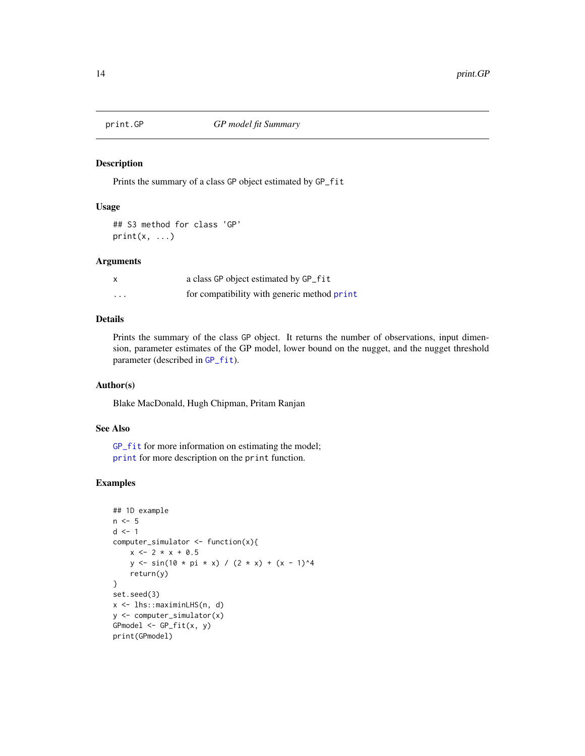<span id="page-13-1"></span><span id="page-13-0"></span>

#### Description

Prints the summary of a class GP object estimated by GP\_fit

#### Usage

## S3 method for class 'GP'  $print(x, \ldots)$ 

#### Arguments

| x       | a class GP object estimated by GP_fit       |
|---------|---------------------------------------------|
| $\cdot$ | for compatibility with generic method print |

## Details

Prints the summary of the class GP object. It returns the number of observations, input dimension, parameter estimates of the GP model, lower bound on the nugget, and the nugget threshold parameter (described in [GP\\_fit](#page-5-1)).

#### Author(s)

Blake MacDonald, Hugh Chipman, Pritam Ranjan

## See Also

[GP\\_fit](#page-5-1) for more information on estimating the model; [print](#page-0-0) for more description on the print function.

```
## 1D example
n < -5d \leq -1computer_simulator <- function(x){
    x \le -2 \times x + 0.5y \le - \sin(10 \times pi \times x) / (2 \times x) + (x - 1)^4return(y)
}
set.seed(3)
x <- lhs::maximinLHS(n, d)
y <- computer_simulator(x)
GPmodel \leq GP_ffit(x, y)print(GPmodel)
```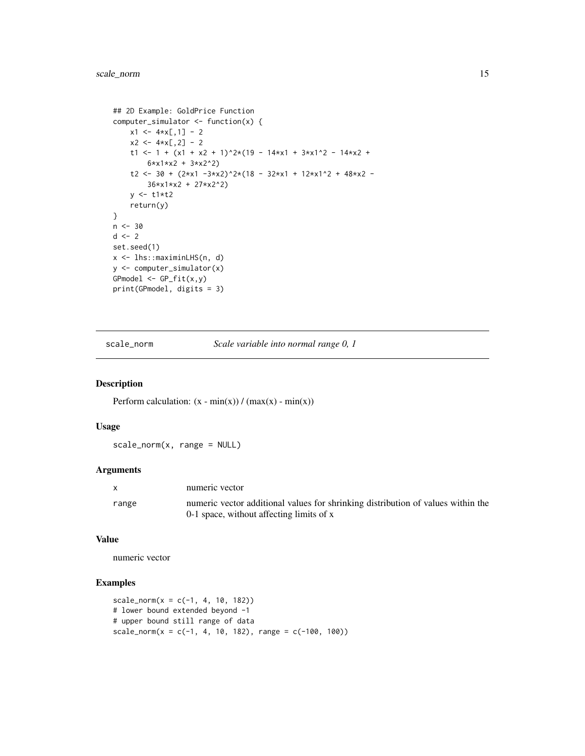```
## 2D Example: GoldPrice Function
computer_simulator <- function(x) {
   x1 \leftarrow 4*x[, 1] - 2x2 \le -4*x[, 2] - 2t1 <- 1 + (x1 + x2 + 1)^2*(19 - 14*x1 + 3*x1^2 - 14*x2 +
        6*x1*x2 + 3*x2^2)
    t2 <- 30 + (2*x1 -3*x2)^2*(18 - 32*x1 + 12*x1^2 + 48*x2 -
        36*x1*x2 + 27*x2^2)
   y <- t1*t2
   return(y)
}
n < -30d \le -2set.seed(1)
x <- lhs::maximinLHS(n, d)
y <- computer_simulator(x)
GPmodel <- GP_fit(x,y)
print(GPmodel, digits = 3)
```
scale\_norm *Scale variable into normal range 0, 1*

## Description

Perform calculation:  $(x - min(x)) / (max(x) - min(x))$ 

## Usage

scale\_norm(x, range = NULL)

#### Arguments

|       | numeric vector                                                                   |
|-------|----------------------------------------------------------------------------------|
| range | numeric vector additional values for shrinking distribution of values within the |
|       | 0-1 space, without affecting limits of x                                         |

#### Value

numeric vector

```
scale_norm(x = c(-1, 4, 10, 182))
# lower bound extended beyond -1
# upper bound still range of data
scale_norm(x = c(-1, 4, 10, 182), range = c(-100, 100))
```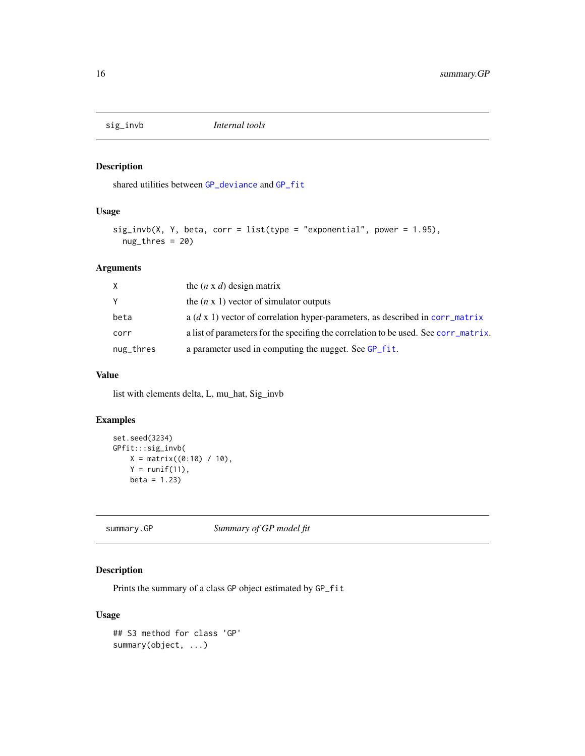<span id="page-15-0"></span>

## Description

shared utilities between [GP\\_deviance](#page-3-1) and [GP\\_fit](#page-5-1)

## Usage

```
sig\_invb(X, Y, beta, corr = list(type = "exponential", power = 1.95),nug_thres = 20)
```
## Arguments

| X         | the $(n \times d)$ design matrix                                                     |
|-----------|--------------------------------------------------------------------------------------|
| Y         | the $(n \times 1)$ vector of simulator outputs                                       |
| beta      | a $(d \times 1)$ vector of correlation hyper-parameters, as described in corr_matrix |
| corr      | a list of parameters for the specifing the correlation to be used. See corr_matrix.  |
| nug_thres | a parameter used in computing the nugget. See GP_fit.                                |

## Value

list with elements delta, L, mu\_hat, Sig\_invb

## Examples

```
set.seed(3234)
GPfit:::sig_invb(
   X = matrix((0:10) / 10),Y = runif(11),beta = 1.23
```
summary.GP *Summary of GP model fit*

## Description

Prints the summary of a class GP object estimated by GP\_fit

## Usage

```
## S3 method for class 'GP'
summary(object, ...)
```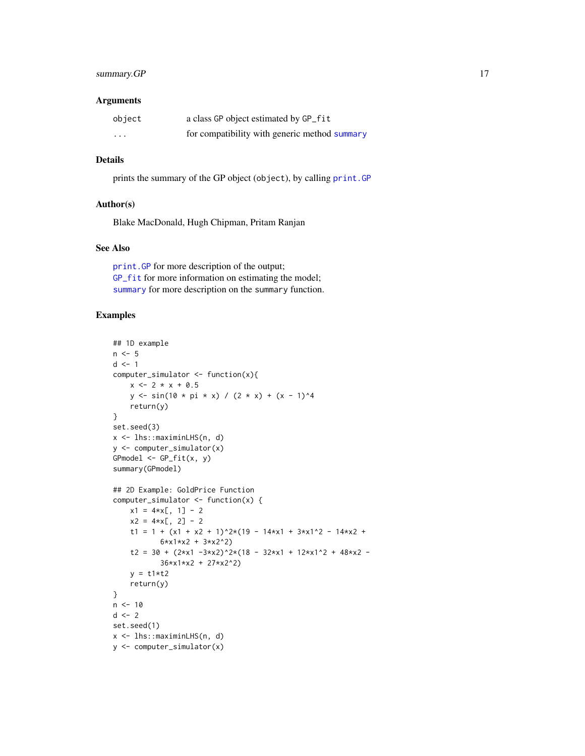## <span id="page-16-0"></span>summary.GP 17

#### **Arguments**

| object                  | a class GP object estimated by GP_fit         |
|-------------------------|-----------------------------------------------|
| $\cdot$ $\cdot$ $\cdot$ | for compatibility with generic method summary |

## Details

prints the summary of the GP object (object), by calling [print.GP](#page-13-1)

#### Author(s)

Blake MacDonald, Hugh Chipman, Pritam Ranjan

## See Also

[print.GP](#page-13-1) for more description of the output; [GP\\_fit](#page-5-1) for more information on estimating the model; [summary](#page-0-0) for more description on the summary function.

```
## 1D example
n \leq -5d \leq -1computer_simulator <- function(x){
   x \le -2 \times x + 0.5y \le - \sin(10 \times \pi) \times x) / (2 \times x) + (x - 1)^4return(y)
}
set.seed(3)
x <- lhs::maximinLHS(n, d)
y <- computer_simulator(x)
GPmodel \leq GP_{if}(x, y)summary(GPmodel)
## 2D Example: GoldPrice Function
computer_simulator <- function(x) {
    x1 = 4*x[, 1] - 2x2 = 4 \times x[, 2] - 2
    t1 = 1 + (x1 + x2 + 1)^{2}*(19 - 14*x1 + 3*x1^2 - 14*x2 +6*x1*x2 + 3*x2^2)
    t2 = 30 + (2*x1 - 3*x2)^2x(18 - 32*x1 + 12*x1^2 + 48*x2 -36*x1*x2 + 27*x2^2)
    y = t1*t2return(y)
}
n < -10d \leq -2set.seed(1)
x <- lhs::maximinLHS(n, d)
y <- computer_simulator(x)
```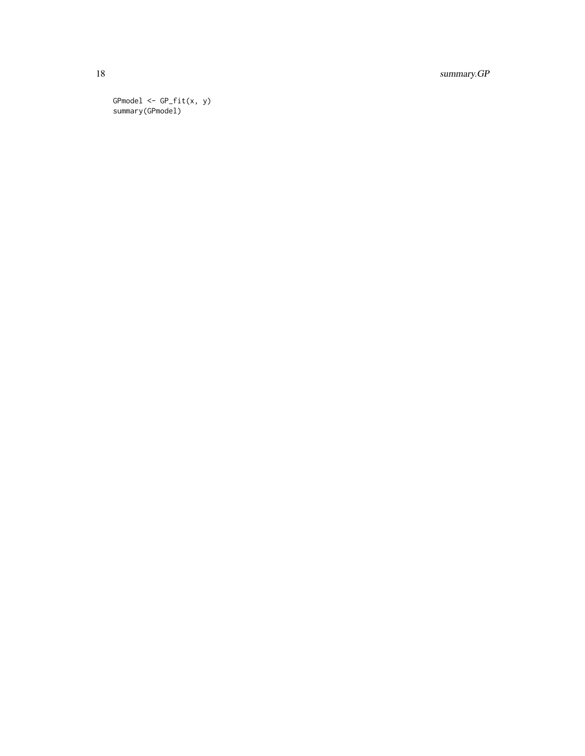18 summary.GP

GPmodel <- GP\_fit(x, y) summary(GPmodel)